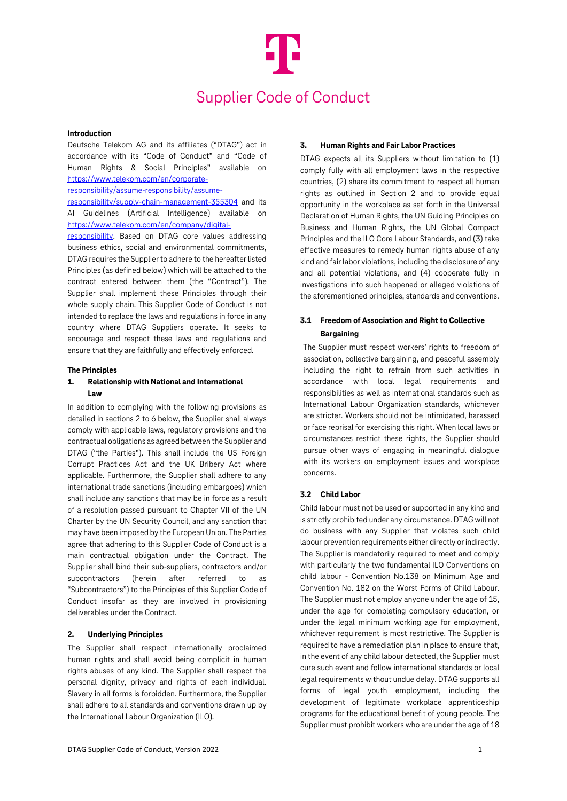# Supplier Code of Conduct

#### **Introduction**

Deutsche Telekom AG and its affiliates ("DTAG") act in accordance with its "Code of Conduct" and "Code of Human Rights & Social Principles" available on [https://www.telekom.com/en/corporate-](https://www.telekom.com/en/corporate-responsibility/assume-responsibility/assume-responsibility/supply-chain-management-355304)

[responsibility/assume-responsibility/assume-](https://www.telekom.com/en/corporate-responsibility/assume-responsibility/assume-responsibility/supply-chain-management-355304)

[responsibility/supply-chain-management-355304](https://www.telekom.com/en/corporate-responsibility/assume-responsibility/assume-responsibility/supply-chain-management-355304) and its AI Guidelines (Artificial Intelligence) available on [https://www.telekom.com/en/company/digital-](https://www.telekom.com/en/company/digital-responsibility)

[responsibility.](https://www.telekom.com/en/company/digital-responsibility) Based on DTAG core values addressing business ethics, social and environmental commitments, DTAG requires the Supplier to adhere to the hereafter listed Principles (as defined below) which will be attached to the contract entered between them (the "Contract"). The Supplier shall implement these Principles through their whole supply chain. This Supplier Code of Conduct is not intended to replace the laws and regulations in force in any country where DTAG Suppliers operate. It seeks to encourage and respect these laws and regulations and ensure that they are faithfully and effectively enforced.

#### **The Principles**

## **1. Relationship with National and International Law**

In addition to complying with the following provisions as detailed in sections 2 to 6 below, the Supplier shall always comply with applicable laws, regulatory provisions and the contractual obligations as agreed between the Supplier and DTAG ("the Parties"). This shall include the US Foreign Corrupt Practices Act and the UK Bribery Act where applicable. Furthermore, the Supplier shall adhere to any international trade sanctions (including embargoes) which shall include any sanctions that may be in force as a result of a resolution passed pursuant to Chapter VII of the UN Charter by the UN Security Council, and any sanction that may have been imposed by the European Union. The Parties agree that adhering to this Supplier Code of Conduct is a main contractual obligation under the Contract. The Supplier shall bind their sub-suppliers, contractors and/or subcontractors (herein after referred to as "Subcontractors") to the Principles of this Supplier Code of Conduct insofar as they are involved in provisioning deliverables under the Contract.

#### **2. Underlying Principles**

The Supplier shall respect internationally proclaimed human rights and shall avoid being complicit in human rights abuses of any kind. The Supplier shall respect the personal dignity, privacy and rights of each individual. Slavery in all forms is forbidden. Furthermore, the Supplier shall adhere to all standards and conventions drawn up by the International Labour Organization (ILO).

#### **3. Human Rights and Fair Labor Practices**

DTAG expects all its Suppliers without limitation to (1) comply fully with all employment laws in the respective countries, (2) share its commitment to respect all human rights as outlined in Section 2 and to provide equal opportunity in the workplace as set forth in the Universal Declaration of Human Rights, the UN Guiding Principles on Business and Human Rights, the UN Global Compact Principles and the ILO Core Labour Standards, and (3) take effective measures to remedy human rights abuse of any kind and fair labor violations, including the disclosure of any and all potential violations, and (4) cooperate fully in investigations into such happened or alleged violations of the aforementioned principles, standards and conventions.

## **3.1 Freedom of Association and Right to Collective Bargaining**

The Supplier must respect workers' rights to freedom of association, collective bargaining, and peaceful assembly including the right to refrain from such activities in accordance with local legal requirements and responsibilities as well as international standards such as International Labour Organization standards, whichever are stricter. Workers should not be intimidated, harassed or face reprisal for exercising this right. When local laws or circumstances restrict these rights, the Supplier should pursue other ways of engaging in meaningful dialogue with its workers on employment issues and workplace concerns.

## **3.2 Child Labor**

Child labour must not be used or supported in any kind and is strictly prohibited under any circumstance. DTAG will not do business with any Supplier that violates such child labour prevention requirements either directly or indirectly. The Supplier is mandatorily required to meet and comply with particularly the two fundamental ILO Conventions on child labour - Convention No.138 on Minimum Age and Convention No. 182 on the Worst Forms of Child Labour. The Supplier must not employ anyone under the age of 15, under the age for completing compulsory education, or under the legal minimum working age for employment, whichever requirement is most restrictive. The Supplier is required to have a remediation plan in place to ensure that, in the event of any child labour detected, the Supplier must cure such event and follow international standards or local legal requirements without undue delay. DTAG supports all forms of legal youth employment, including the development of legitimate workplace apprenticeship programs for the educational benefit of young people. The Supplier must prohibit workers who are under the age of 18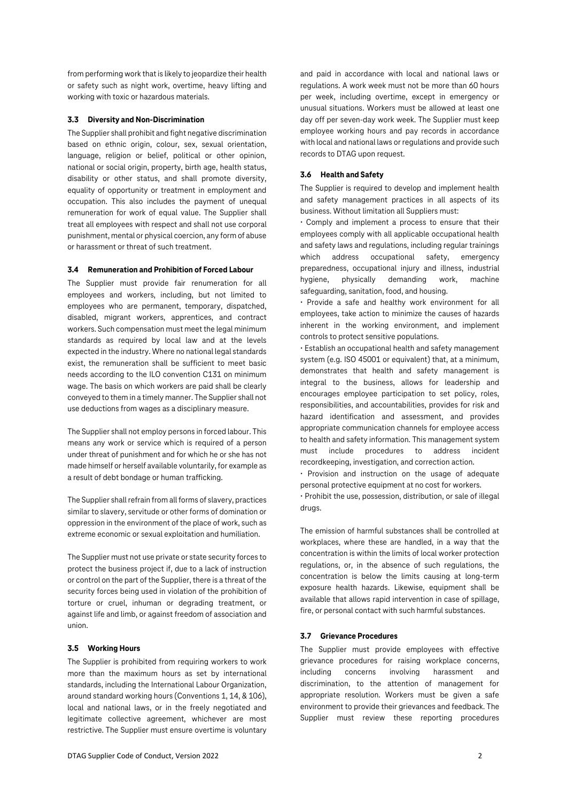from performing work that is likely to jeopardize their health or safety such as night work, overtime, heavy lifting and working with toxic or hazardous materials.

## **3.3 Diversity and Non-Discrimination**

The Supplier shall prohibit and fight negative discrimination based on ethnic origin, colour, sex, sexual orientation, language, religion or belief, political or other opinion, national or social origin, property, birth age, health status, disability or other status, and shall promote diversity, equality of opportunity or treatment in employment and occupation. This also includes the payment of unequal remuneration for work of equal value. The Supplier shall treat all employees with respect and shall not use corporal punishment, mental or physical coercion, any form of abuse or harassment or threat of such treatment.

## **3.4 Remuneration and Prohibition of Forced Labour**

The Supplier must provide fair renumeration for all employees and workers, including, but not limited to employees who are permanent, temporary, dispatched, disabled, migrant workers, apprentices, and contract workers. Such compensation must meet the legal minimum standards as required by local law and at the levels expected in the industry. Where no national legal standards exist, the remuneration shall be sufficient to meet basic needs according to the ILO convention C131 on minimum wage. The basis on which workers are paid shall be clearly conveyed to them in a timely manner. The Supplier shall not use deductions from wages as a disciplinary measure.

The Supplier shall not employ persons in forced labour. This means any work or service which is required of a person under threat of punishment and for which he or she has not made himself or herself available voluntarily, for example as a result of debt bondage or human trafficking.

The Supplier shall refrain from all forms of slavery, practices similar to slavery, servitude or other forms of domination or oppression in the environment of the place of work, such as extreme economic or sexual exploitation and humiliation.

The Supplier must not use private or state security forces to protect the business project if, due to a lack of instruction or control on the part of the Supplier, there is a threat of the security forces being used in violation of the prohibition of torture or cruel, inhuman or degrading treatment, or against life and limb, or against freedom of association and union.

#### **3.5 Working Hours**

The Supplier is prohibited from requiring workers to work more than the maximum hours as set by international standards, including the International Labour Organization, around standard working hours (Conventions 1, 14, & 106), local and national laws, or in the freely negotiated and legitimate collective agreement, whichever are most restrictive. The Supplier must ensure overtime is voluntary

and paid in accordance with local and national laws or regulations. A work week must not be more than 60 hours per week, including overtime, except in emergency or unusual situations. Workers must be allowed at least one day off per seven-day work week. The Supplier must keep employee working hours and pay records in accordance with local and national laws or regulations and provide such records to DTAG upon request.

#### **3.6 Health and Safety**

The Supplier is required to develop and implement health and safety management practices in all aspects of its business. Without limitation all Suppliers must:

• Comply and implement a process to ensure that their employees comply with all applicable occupational health and safety laws and regulations, including regular trainings which address occupational safety, emergency preparedness, occupational injury and illness, industrial hygiene, physically demanding work, machine safeguarding, sanitation, food, and housing.

• Provide a safe and healthy work environment for all employees, take action to minimize the causes of hazards inherent in the working environment, and implement controls to protect sensitive populations.

• Establish an occupational health and safety management system (e.g. ISO 45001 or equivalent) that, at a minimum, demonstrates that health and safety management is integral to the business, allows for leadership and encourages employee participation to set policy, roles, responsibilities, and accountabilities, provides for risk and hazard identification and assessment, and provides appropriate communication channels for employee access to health and safety information. This management system must include procedures to address incident recordkeeping, investigation, and correction action.

• Provision and instruction on the usage of adequate personal protective equipment at no cost for workers.

• Prohibit the use, possession, distribution, or sale of illegal drugs.

The emission of harmful substances shall be controlled at workplaces, where these are handled, in a way that the concentration is within the limits of local worker protection regulations, or, in the absence of such regulations, the concentration is below the limits causing at long-term exposure health hazards. Likewise, equipment shall be available that allows rapid intervention in case of spillage, fire, or personal contact with such harmful substances.

## **3.7 Grievance Procedures**

The Supplier must provide employees with effective grievance procedures for raising workplace concerns, including concerns involving harassment and discrimination, to the attention of management for appropriate resolution. Workers must be given a safe environment to provide their grievances and feedback. The Supplier must review these reporting procedures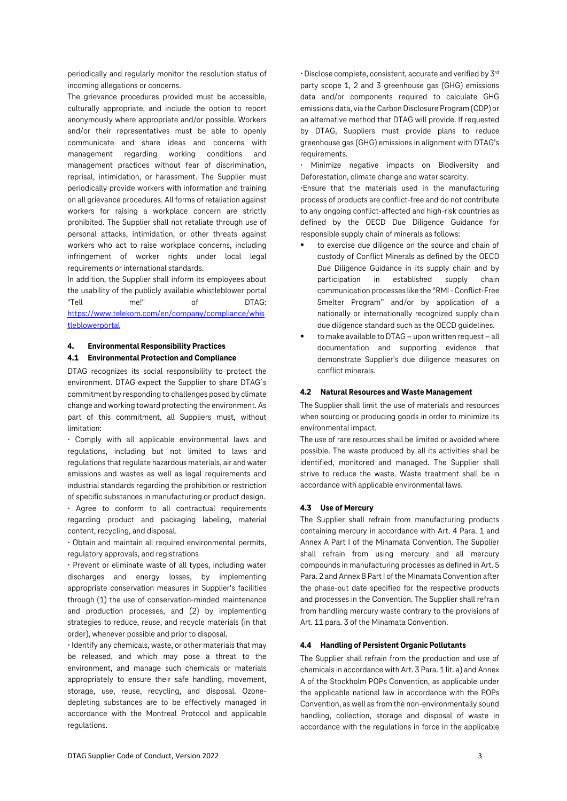periodically and regularly monitor the resolution status of incoming allegations or concerns.

The grievance procedures provided must be accessible, culturally appropriate, and include the option to report anonymously where appropriate and/or possible. Workers and/or their representatives must be able to openly communicate and share ideas and concerns with management regarding working conditions and management practices without fear of discrimination, reprisal, intimidation, or harassment. The Supplier must periodically provide workers with information and training on all grievance procedures. All forms of retaliation against workers for raising a workplace concern are strictly prohibited. The Supplier shall not retaliate through use of personal attacks, intimidation, or other threats against workers who act to raise workplace concerns, including infringement of worker rights under local legal requirements or international standards.

In addition, the Supplier shall inform its employees about the usability of the publicly available whistleblower portal "Tell me!" of DTAG: [https://www.telekom.com/en/company/compliance/whis](https://www.telekom.com/en/company/compliance/whistleblowerportal) **[tleblowerportal](https://www.telekom.com/en/company/compliance/whistleblowerportal)** 

#### **4. Environmental Responsibility Practices**

## **4.1 Environmental Protection and Compliance**

DTAG recognizes its social responsibility to protect the environment. DTAG expect the Supplier to share DTAG`s commitment by responding to challenges posed by climate change and working toward protecting the environment. As part of this commitment, all Suppliers must, without limitation:

• Comply with all applicable environmental laws and regulations, including but not limited to laws and regulations that regulate hazardous materials, air andwater emissions and wastes as well as legal requirements and industrial standards regarding the prohibition or restriction of specific substances in manufacturing or product design.

• Agree to conform to all contractual requirements regarding product and packaging labeling, material content, recycling, and disposal.

• Obtain and maintain all required environmental permits, regulatory approvals, and registrations

• Prevent or eliminate waste of all types, including water discharges and energy losses, by implementing appropriate conservation measures in Supplier's facilities through (1) the use of conservation-minded maintenance and production processes, and (2) by implementing strategies to reduce, reuse, and recycle materials (in that order), whenever possible and prior to disposal.

• Identify any chemicals, waste, or other materials that may be released, and which may pose a threat to the environment, and manage such chemicals or materials appropriately to ensure their safe handling, movement, storage, use, reuse, recycling, and disposal. Ozonedepleting substances are to be effectively managed in accordance with the Montreal Protocol and applicable regulations.

• Disclose complete, consistent, accurate and verified by 3rd party scope 1, 2 and 3 greenhouse gas (GHG) emissions data and/or components required to calculate GHG emissions data, via the Carbon Disclosure Program (CDP) or an alternative method that DTAG will provide. If requested by DTAG, Suppliers must provide plans to reduce greenhouse gas (GHG) emissions in alignment with DTAG's requirements.

• Minimize negative impacts on Biodiversity and Deforestation, climate change and water scarcity.

•Ensure that the materials used in the manufacturing process of products are conflict-free and do not contribute to any ongoing conflict-affected and high-risk countries as defined by the OECD Due Diligence Guidance for responsible supply chain of minerals as follows:

- to exercise due diligence on the source and chain of custody of Conflict Minerals as defined by the OECD Due Diligence Guidance in its supply chain and by participation in established supply chain communication processes like the "RMI -Conflict-Free Smelter Program" and/or by application of a nationally or internationally recognized supply chain due diligence standard such as the OECD guidelines.
- to make available to DTAG upon written request all documentation and supporting evidence that demonstrate Supplier's due diligence measures on conflict minerals.

#### **4.2 Natural Resources and Waste Management**

The Supplier shall limit the use of materials and resources when sourcing or producing goods in order to minimize its environmental impact.

The use of rare resources shall be limited or avoided where possible. The waste produced by all its activities shall be identified, monitored and managed. The Supplier shall strive to reduce the waste. Waste treatment shall be in accordance with applicable environmental laws.

## **4.3 Use of Mercury**

The Supplier shall refrain from manufacturing products containing mercury in accordance with Art. 4 Para. 1 and Annex A Part I of the Minamata Convention. The Supplier shall refrain from using mercury and all mercury compounds in manufacturing processes as defined in Art. 5 Para. 2 and Annex B Part I of the Minamata Convention after the phase-out date specified for the respective products and processes in the Convention. The Supplier shall refrain from handling mercury waste contrary to the provisions of Art. 11 para. 3 of the Minamata Convention.

#### **4.4 Handling of Persistent Organic Pollutants**

The Supplier shall refrain from the production and use of chemicals in accordance with Art. 3 Para. 1 lit. a) and Annex A of the Stockholm POPs Convention, as applicable under the applicable national law in accordance with the POPs Convention, as well as from the non-environmentally sound handling, collection, storage and disposal of waste in accordance with the regulations in force in the applicable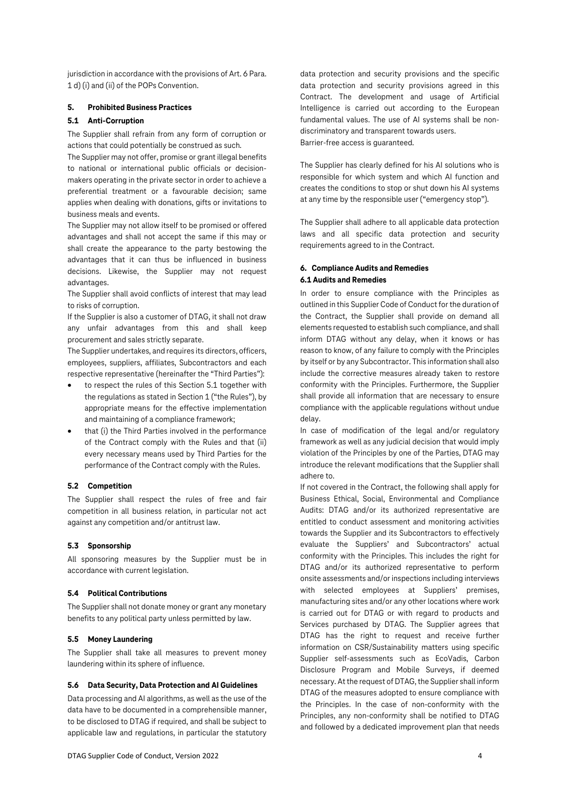jurisdiction in accordance with the provisions of Art. 6 Para. 1 d) (i) and (ii) of the POPs Convention.

## **5. Prohibited Business Practices**

## **5.1 Anti-Corruption**

The Supplier shall refrain from any form of corruption or actions that could potentially be construed as such.

The Supplier may not offer, promise or grant illegal benefits to national or international public officials or decisionmakers operating in the private sector in order to achieve a preferential treatment or a favourable decision; same applies when dealing with donations, gifts or invitations to business meals and events.

The Supplier may not allow itself to be promised or offered advantages and shall not accept the same if this may or shall create the appearance to the party bestowing the advantages that it can thus be influenced in business decisions. Likewise, the Supplier may not request advantages.

The Supplier shall avoid conflicts of interest that may lead to risks of corruption.

If the Supplier is also a customer of DTAG, it shall not draw any unfair advantages from this and shall keep procurement and sales strictly separate.

The Supplier undertakes, and requires its directors, officers, employees, suppliers, affiliates, Subcontractors and each respective representative (hereinafter the "Third Parties"):

- to respect the rules of this Section 5.1 together with the regulations as stated in Section 1 ("the Rules"), by appropriate means for the effective implementation and maintaining of a compliance framework;
- that (i) the Third Parties involved in the performance of the Contract comply with the Rules and that (ii) every necessary means used by Third Parties for the performance of the Contract comply with the Rules.

## **5.2 Competition**

The Supplier shall respect the rules of free and fair competition in all business relation, in particular not act against any competition and/or antitrust law.

#### **5.3 Sponsorship**

All sponsoring measures by the Supplier must be in accordance with current legislation.

## **5.4 Political Contributions**

The Supplier shall not donate money or grant any monetary benefits to any political party unless permitted by law.

#### **5.5 Money Laundering**

The Supplier shall take all measures to prevent money laundering within its sphere of influence.

#### **5.6 Data Security, Data Protection and AI Guidelines**

Data processing and AI algorithms, as well as the use of the data have to be documented in a comprehensible manner, to be disclosed to DTAG if required, and shall be subject to applicable law and regulations, in particular the statutory

data protection and security provisions and the specific data protection and security provisions agreed in this Contract. The development and usage of Artificial Intelligence is carried out according to the European fundamental values. The use of AI systems shall be nondiscriminatory and transparent towards users. Barrier-free access is guaranteed.

The Supplier has clearly defined for his AI solutions who is responsible for which system and which AI function and creates the conditions to stop or shut down his AI systems at any time by the responsible user ("emergency stop").

The Supplier shall adhere to all applicable data protection laws and all specific data protection and security requirements agreed to in the Contract.

## **6. Compliance Audits and Remedies 6.1 Audits and Remedies**

In order to ensure compliance with the Principles as outlined in this Supplier Code of Conduct for the duration of the Contract, the Supplier shall provide on demand all elements requested to establish such compliance, and shall inform DTAG without any delay, when it knows or has reason to know, of any failure to comply with the Principles by itself or by any Subcontractor. This information shall also include the corrective measures already taken to restore conformity with the Principles. Furthermore, the Supplier shall provide all information that are necessary to ensure compliance with the applicable regulations without undue delay.

In case of modification of the legal and/or regulatory framework as well as any judicial decision that would imply violation of the Principles by one of the Parties, DTAG may introduce the relevant modifications that the Supplier shall adhere to.

If not covered in the Contract, the following shall apply for Business Ethical, Social, Environmental and Compliance Audits: DTAG and/or its authorized representative are entitled to conduct assessment and monitoring activities towards the Supplier and its Subcontractors to effectively evaluate the Suppliers' and Subcontractors' actual conformity with the Principles. This includes the right for DTAG and/or its authorized representative to perform onsite assessments and/or inspections including interviews with selected employees at Suppliers' premises, manufacturing sites and/or any other locations where work is carried out for DTAG or with regard to products and Services purchased by DTAG. The Supplier agrees that DTAG has the right to request and receive further information on CSR/Sustainability matters using specific Supplier self-assessments such as EcoVadis, Carbon Disclosure Program and Mobile Surveys, if deemed necessary. At the request of DTAG, the Supplier shall inform DTAG of the measures adopted to ensure compliance with the Principles. In the case of non-conformity with the Principles, any non-conformity shall be notified to DTAG and followed by a dedicated improvement plan that needs